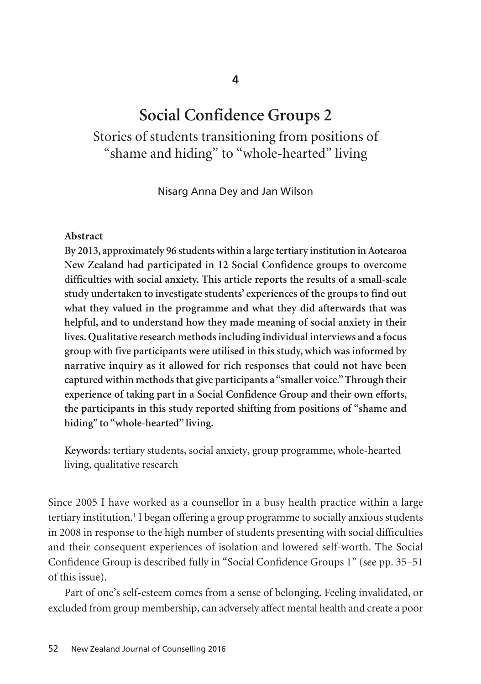# **Social Confidence Groups 2**

# Stories of students transitioning from positions of "shame and hiding" to "whole-hearted" living

Nisarg Anna Dey and Jan Wilson

#### **Abstract**

**By 2013, approximately 96 students within a large tertiary institution in Aotearoa New Zealand had participated in 12 Social Confidence groups to overcome difficulties with social anxiety. This article reports the results of a small-scale study undertaken to investigate students' experiences of the groups to find out what they valued in the programme and what they did afterwards that was helpful, and to understand how they made meaning of social anxiety in their lives. Qualitative research methods including individual interviews and a focus group with five participants were utilised in this study, which was informed by narrative inquiry as it allowed for rich responses that could not have been captured within methods that give participants a "smaller voice." Through their experience of taking part in a Social Confidence Group and their own efforts, the participants in this study reported shifting from positions of "shame and hiding" to "whole-hearted" living.** 

**Keywords:** tertiary students, social anxiety, group programme, whole-hearted living, qualitative research

Since 2005 I have worked as a counsellor in a busy health practice within a large tertiary institution.<sup>1</sup> I began offering a group programme to socially anxious students in 2008 in response to the high number of students presenting with social difficulties and their consequent experiences of isolation and lowered self-worth. The Social Confidence Group is described fully in "Social Confidence Groups 1" (see pp. 35–51 of this issue).

Part of one's self-esteem comes from a sense of belonging. Feeling invalidated, or excluded from group membership, can adversely affect mental health and create a poor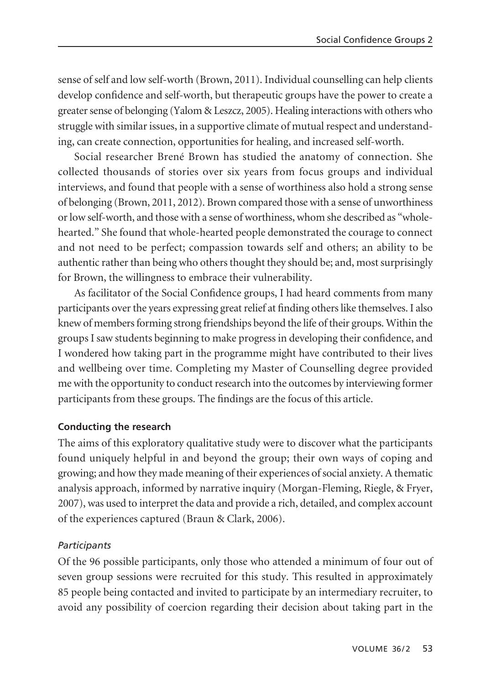sense of self and low self-worth (Brown, 2011). Individual counselling can help clients develop confidence and self-worth, but therapeutic groups have the power to create a greater sense of belonging (Yalom & Leszcz, 2005). Healing interactions with others who struggle with similar issues, in a supportive climate of mutual respect and understanding, can create connection, opportunities for healing, and increased self-worth.

Social researcher Brené Brown has studied the anatomy of connection. She collected thousands of stories over six years from focus groups and individual interviews, and found that people with a sense of worthiness also hold a strong sense of belonging (Brown, 2011, 2012). Brown compared those with a sense of unworthiness or low self-worth, and those with a sense of worthiness, whom she described as "wholehearted." She found that whole-hearted people demonstrated the courage to connect and not need to be perfect; compassion towards self and others; an ability to be authentic rather than being who others thought they should be; and, most surprisingly for Brown, the willingness to embrace their vulnerability.

As facilitator of the Social Confidence groups, I had heard comments from many participants over the years expressing great relief at finding others like themselves. I also knew of members forming strong friendships beyond the life of their groups. Within the groups I saw students beginning to make progress in developing their confidence, and I wondered how taking part in the programme might have contributed to their lives and wellbeing over time. Completing my Master of Counselling degree provided me with the opportunity to conduct research into the outcomes by interviewing former participants from these groups. The findings are the focus of this article.

#### **Conducting the research**

The aims of this exploratory qualitative study were to discover what the participants found uniquely helpful in and beyond the group; their own ways of coping and growing; and how they made meaning of their experiences of social anxiety. A thematic analysis approach, informed by narrative inquiry (Morgan-Fleming, Riegle, & Fryer, 2007), was used to interpret the data and provide a rich, detailed, and complex account of the experiences captured (Braun & Clark, 2006).

#### *Participants*

Of the 96 possible participants, only those who attended a minimum of four out of seven group sessions were recruited for this study. This resulted in approximately 85 people being contacted and invited to participate by an intermediary recruiter, to avoid any possibility of coercion regarding their decision about taking part in the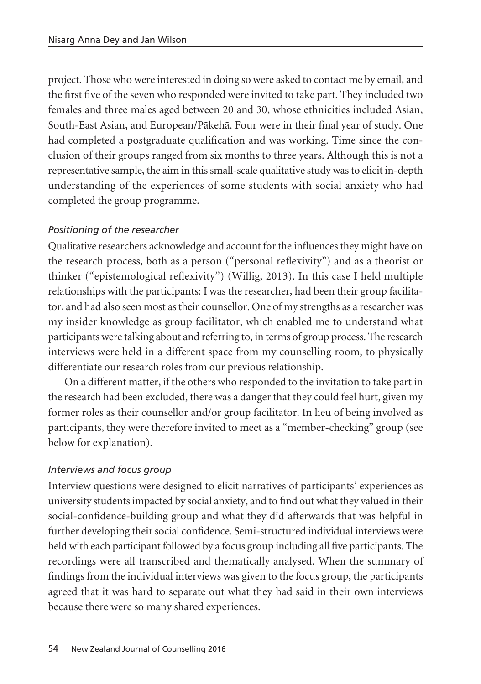project. Those who were interested in doing so were asked to contact me by email, and the first five of the seven who responded were invited to take part. They included two females and three males aged between 20 and 30, whose ethnicities included Asian, South-East Asian, and European/Päkehä. Four were in their final year of study. One had completed a postgraduate qualification and was working. Time since the conclusion of their groups ranged from six months to three years. Although this is not a representative sample, the aim in this small-scale qualitative study was to elicit in-depth understanding of the experiences of some students with social anxiety who had completed the group programme.

### *Positioning of the researcher*

Qualitative researchers acknowledge and account for the influences they might have on the research process, both as a person ("personal reflexivity") and as a theorist or thinker ("epistemological reflexivity") (Willig, 2013). In this case I held multiple relationships with the participants: I was the researcher, had been their group facilitator, and had also seen most as their counsellor. One of my strengths as a researcher was my insider knowledge as group facilitator, which enabled me to understand what participants were talking about and referring to, in terms of group process. The research interviews were held in a different space from my counselling room, to physically differentiate our research roles from our previous relationship.

On a different matter, if the others who responded to the invitation to take part in the research had been excluded, there was a danger that they could feel hurt, given my former roles as their counsellor and/or group facilitator. In lieu of being involved as participants, they were therefore invited to meet as a "member-checking" group (see below for explanation).

#### *Interviews and focus group*

Interview questions were designed to elicit narratives of participants' experiences as university students impacted by social anxiety, and to find out what they valued in their social-confidence-building group and what they did afterwards that was helpful in further developing their social confidence. Semi-structured individual interviews were held with each participant followed by a focus group including all five participants. The recordings were all transcribed and thematically analysed. When the summary of findings from the individual interviews was given to the focus group, the participants agreed that it was hard to separate out what they had said in their own interviews because there were so many shared experiences.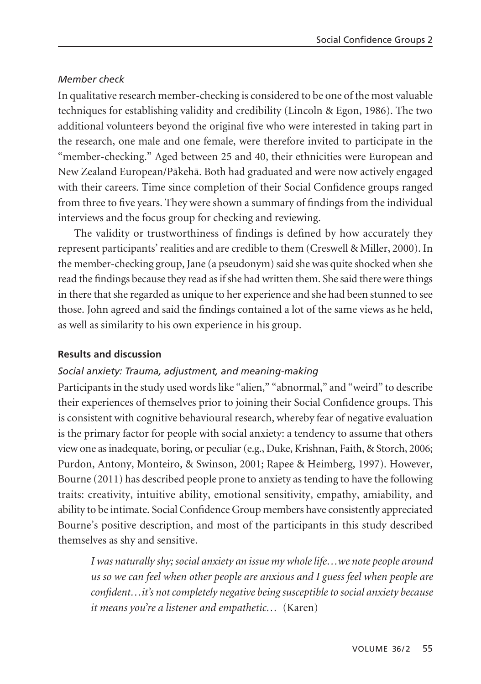#### *Member check*

In qualitative research member-checking is considered to be one of the most valuable techniques for establishing validity and credibility (Lincoln & Egon, 1986). The two additional volunteers beyond the original five who were interested in taking part in the research, one male and one female, were therefore invited to participate in the "member-checking." Aged between 25 and 40, their ethnicities were European and New Zealand European/Päkehä. Both had graduated and were now actively engaged with their careers. Time since completion of their Social Confidence groups ranged from three to five years. They were shown a summary of findings from the individual interviews and the focus group for checking and reviewing.

The validity or trustworthiness of findings is defined by how accurately they represent participants' realities and are credible to them (Creswell & Miller, 2000). In the member-checking group, Jane (a pseudonym) said she was quite shocked when she read the findings because they read as if she had written them. She said there were things in there that she regarded as unique to her experience and she had been stunned to see those. John agreed and said the findings contained a lot of the same views as he held, as well as similarity to his own experience in his group.

#### **Results and discussion**

#### *Social anxiety: Trauma, adjustment, and meaning-making*

Participants in the study used words like "alien," "abnormal," and "weird" to describe their experiences of themselves prior to joining their Social Confidence groups. This is consistent with cognitive behavioural research, whereby fear of negative evaluation is the primary factor for people with social anxiety: a tendency to assume that others view one as inadequate, boring, or peculiar (e.g., Duke, Krishnan, Faith, & Storch, 2006; Purdon, Antony, Monteiro, & Swinson, 2001; Rapee & Heimberg, 1997). However, Bourne (2011) has described people prone to anxiety as tending to have the following traits: creativity, intuitive ability, emotional sensitivity, empathy, amiability, and ability to be intimate. Social Confidence Group members have consistently appreciated Bourne's positive description, and most of the participants in this study described themselves as shy and sensitive.

*I was naturally shy; social anxiety an issue my whole life…we note people around us so we can feel when other people are anxious and I guess feel when people are confident…it's not completely negative being susceptible to social anxiety because it means you're a listener and empathetic…* (Karen)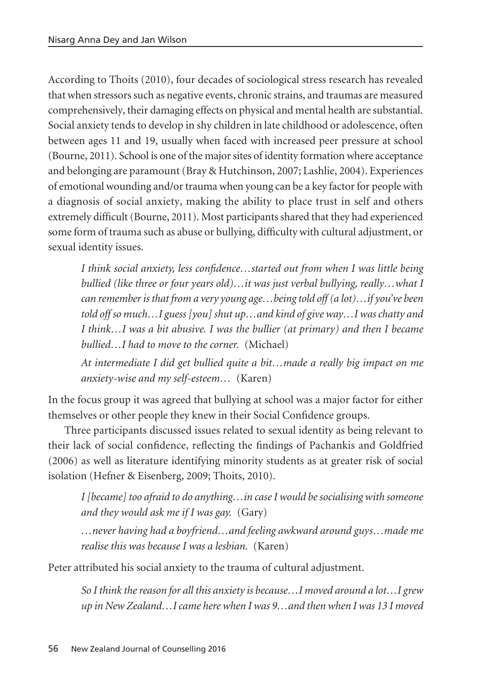According to Thoits (2010), four decades of sociological stress research has revealed that when stressors such as negative events, chronic strains, and traumas are measured comprehensively, their damaging effects on physical and mental health are substantial. Social anxiety tends to develop in shy children in late childhood or adolescence, often between ages 11 and 19, usually when faced with increased peer pressure at school (Bourne, 2011). School is one of the major sites of identity formation where acceptance and belonging are paramount (Bray & Hutchinson, 2007; Lashlie, 2004). Experiences of emotional wounding and/or trauma when young can be a key factor for people with a diagnosis of social anxiety, making the ability to place trust in self and others extremely difficult (Bourne, 2011). Most participants shared that they had experienced some form of trauma such as abuse or bullying, difficulty with cultural adjustment, or sexual identity issues.

*I think social anxiety, less confidence…started out from when I was little being bullied (like three or four years old)…it was just verbal bullying, really…what I can remember is that from a very young age…being told off (a lot)…if you've been told off so much…I guess [you] shut up…and kind of give way…I was chatty and I think…I was a bit abusive. I was the bullier (at primary) and then I became bullied…I had to move to the corner.* (Michael)

*At intermediate I did get bullied quite a bit…made a really big impact on me anxiety-wise and my self-esteem…* (Karen)

In the focus group it was agreed that bullying at school was a major factor for either themselves or other people they knew in their Social Confidence groups.

Three participants discussed issues related to sexual identity as being relevant to their lack of social confidence, reflecting the findings of Pachankis and Goldfried (2006) as well as literature identifying minority students as at greater risk of social isolation (Hefner & Eisenberg, 2009; Thoits, 2010).

*I [became] too afraid to do anything…in case I would be socialising with someone and they would ask me if I was gay.* (Gary)

*…never having had a boyfriend…and feeling awkward around guys…made me realise this was because I was a lesbian.* (Karen)

Peter attributed his social anxiety to the trauma of cultural adjustment.

*So I think the reason for all this anxiety is because…I moved around a lot…I grew up in New Zealand…I came here when I was 9…and then when I was 13 I moved*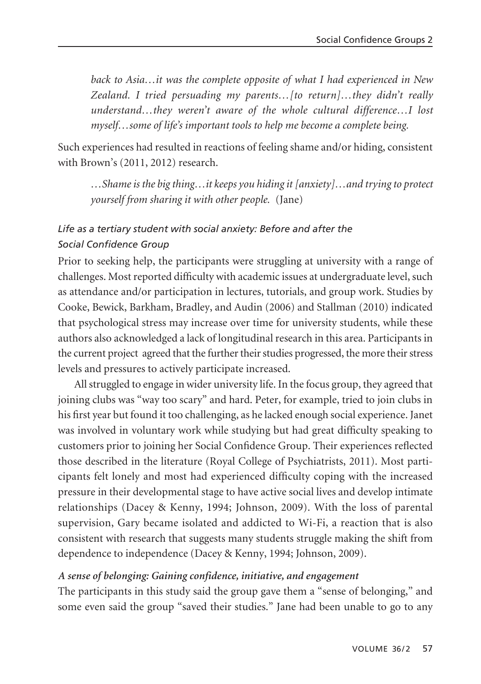*back to Asia…it was the complete opposite of what I had experienced in New Zealand. I tried persuading my parents…[to return]…they didn't really understand…they weren't aware of the whole cultural difference…I lost myself…some of life's important tools to help me become a complete being.* 

Such experiences had resulted in reactions of feeling shame and/or hiding, consistent with Brown's (2011, 2012) research.

*…Shame is the big thing…it keeps you hiding it [anxiety]…and trying to protect yourself from sharing it with other people.* (Jane)

# *Life as a tertiary student with social anxiety: Before and after the Social Confidence Group*

Prior to seeking help, the participants were struggling at university with a range of challenges. Most reported difficulty with academic issues at undergraduate level, such as attendance and/or participation in lectures, tutorials, and group work. Studies by Cooke, Bewick, Barkham, Bradley, and Audin (2006) and Stallman (2010) indicated that psychological stress may increase over time for university students, while these authors also acknowledged a lack of longitudinal research in this area. Participants in the current project agreed that the further their studies progressed, the more their stress levels and pressures to actively participate increased.

All struggled to engage in wider university life. In the focus group, they agreed that joining clubs was "way too scary" and hard. Peter, for example, tried to join clubs in his first year but found it too challenging, as he lacked enough social experience. Janet was involved in voluntary work while studying but had great difficulty speaking to customers prior to joining her Social Confidence Group. Their experiences reflected those described in the literature (Royal College of Psychiatrists, 2011). Most participants felt lonely and most had experienced difficulty coping with the increased pressure in their developmental stage to have active social lives and develop intimate relationships (Dacey & Kenny, 1994; Johnson, 2009). With the loss of parental supervision, Gary became isolated and addicted to Wi-Fi, a reaction that is also consistent with research that suggests many students struggle making the shift from dependence to independence (Dacey & Kenny, 1994; Johnson, 2009).

#### *A sense of belonging: Gaining confidence, initiative, and engagement*

The participants in this study said the group gave them a "sense of belonging," and some even said the group "saved their studies." Jane had been unable to go to any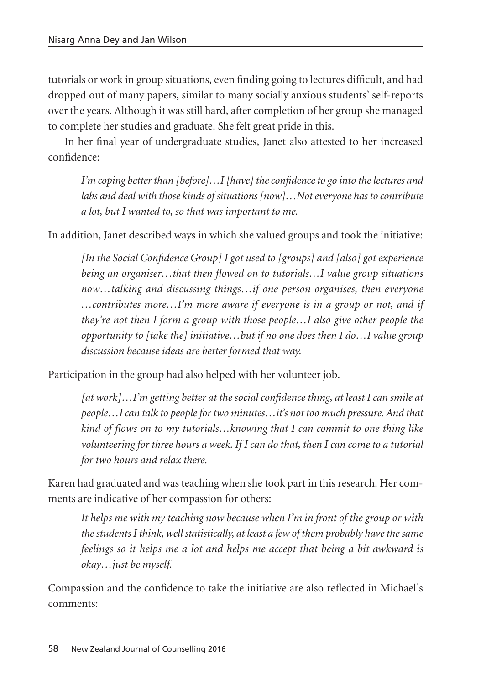tutorials or work in group situations, even finding going to lectures difficult, and had dropped out of many papers, similar to many socially anxious students' self-reports over the years. Although it was still hard, after completion of her group she managed to complete her studies and graduate. She felt great pride in this.

In her final year of undergraduate studies, Janet also attested to her increased confidence:

*I'm coping better than [before]…I [have] the confidence to go into the lectures and labs and deal with those kinds of situations [now]…Not everyone has to contribute a lot, but I wanted to, so that was important to me.* 

In addition, Janet described ways in which she valued groups and took the initiative:

*[In the Social Confidence Group] I got used to [groups] and [also] got experience being an organiser…that then flowed on to tutorials…I value group situations now…talking and discussing things…if one person organises, then everyone …contributes more…I'm more aware if everyone is in a group or not, and if they're not then I form a group with those people…I also give other people the opportunity to [take the] initiative…but if no one does then I do…I value group discussion because ideas are better formed that way.*

Participation in the group had also helped with her volunteer job.

*[at work]…I'm getting better at the social confidence thing, at least I can smile at people…I can talk to people for two minutes…it's not too much pressure. And that kind of flows on to my tutorials…knowing that I can commit to one thing like volunteering for three hours a week. If I can do that, then I can come to a tutorial for two hours and relax there.*

Karen had graduated and was teaching when she took part in this research. Her comments are indicative of her compassion for others:

*It helps me with my teaching now because when I'm in front of the group or with the students I think, well statistically, at least a few of them probably have the same feelings so it helps me a lot and helps me accept that being a bit awkward is okay…just be myself.*

Compassion and the confidence to take the initiative are also reflected in Michael's comments: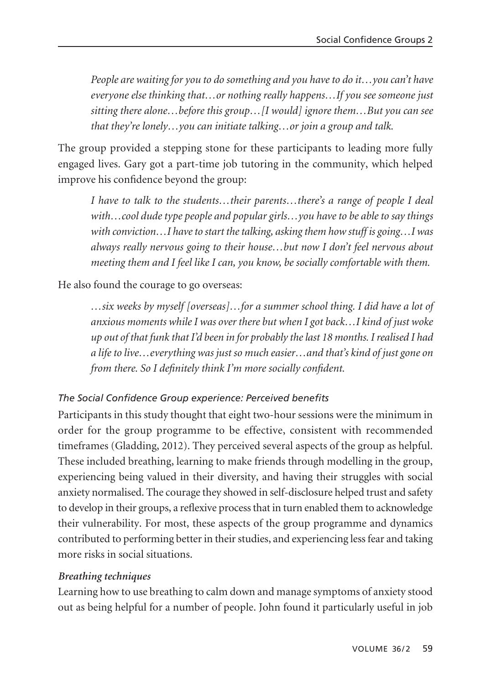*People are waiting for you to do something and you have to do it…you can't have everyone else thinking that…or nothing really happens…If you see someone just sitting there alone…before this group…[I would] ignore them…But you can see that they're lonely…you can initiate talking…or join a group and talk.*

The group provided a stepping stone for these participants to leading more fully engaged lives. Gary got a part-time job tutoring in the community, which helped improve his confidence beyond the group:

*I have to talk to the students…their parents…there's a range of people I deal with…cool dude type people and popular girls…you have to be able to say things with conviction…I have to start the talking, asking them how stuff is going…I was always really nervous going to their house…but now I don't feel nervous about meeting them and I feel like I can, you know, be socially comfortable with them.* 

He also found the courage to go overseas:

*…six weeks by myself [overseas]…for a summer school thing. I did have a lot of anxious moments while I was over there but when I got back…I kind of just woke up out of that funk that I'd been in for probably the last 18 months. I realised I had a life to live…everything was just so much easier…and that's kind of just gone on from there. So I definitely think I'm more socially confident.*

#### *The Social Confidence Group experience: Perceived benefits*

Participants in this study thought that eight two-hour sessions were the minimum in order for the group programme to be effective, consistent with recommended timeframes (Gladding, 2012). They perceived several aspects of the group as helpful. These included breathing, learning to make friends through modelling in the group, experiencing being valued in their diversity, and having their struggles with social anxiety normalised. The courage they showed in self-disclosure helped trust and safety to develop in their groups, a reflexive process that in turn enabled them to acknowledge their vulnerability. For most, these aspects of the group programme and dynamics contributed to performing better in their studies, and experiencing less fear and taking more risks in social situations.

#### *Breathing techniques*

Learning how to use breathing to calm down and manage symptoms of anxiety stood out as being helpful for a number of people. John found it particularly useful in job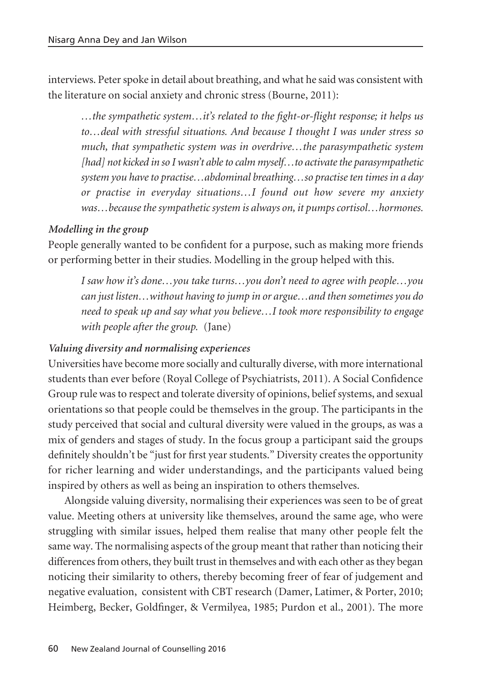interviews. Peter spoke in detail about breathing, and what he said was consistent with the literature on social anxiety and chronic stress (Bourne, 2011):

*…the sympathetic system…it's related to the fight-or-flight response; it helps us to…deal with stressful situations. And because I thought I was under stress so much, that sympathetic system was in overdrive…the parasympathetic system [had] not kicked in so I wasn't able to calm myself…to activate the parasympathetic system you have to practise…abdominal breathing…so practise ten times in a day or practise in everyday situations…I found out how severe my anxiety was…because the sympathetic system is always on, it pumps cortisol…hormones.* 

#### *Modelling in the group*

People generally wanted to be confident for a purpose, such as making more friends or performing better in their studies. Modelling in the group helped with this.

*I saw how it's done…you take turns…you don't need to agree with people…you can just listen…without having to jump in or argue…and then sometimes you do need to speak up and say what you believe…I took more responsibility to engage with people after the group.* (Jane)

#### *Valuing diversity and normalising experiences*

Universities have become more socially and culturally diverse, with more international students than ever before (Royal College of Psychiatrists, 2011). A Social Confidence Group rule was to respect and tolerate diversity of opinions, belief systems, and sexual orientations so that people could be themselves in the group. The participants in the study perceived that social and cultural diversity were valued in the groups, as was a mix of genders and stages of study. In the focus group a participant said the groups definitely shouldn't be "just for first year students." Diversity creates the opportunity for richer learning and wider understandings, and the participants valued being inspired by others as well as being an inspiration to others themselves.

Alongside valuing diversity, normalising their experiences was seen to be of great value. Meeting others at university like themselves, around the same age, who were struggling with similar issues, helped them realise that many other people felt the same way. The normalising aspects of the group meant that rather than noticing their differences from others, they built trust in themselves and with each other as they began noticing their similarity to others, thereby becoming freer of fear of judgement and negative evaluation, consistent with CBT research (Damer, Latimer, & Porter, 2010; Heimberg, Becker, Goldfinger, & Vermilyea, 1985; Purdon et al., 2001). The more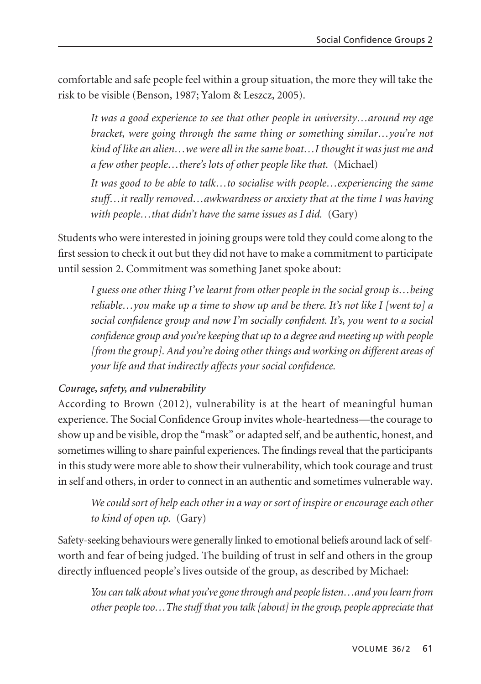comfortable and safe people feel within a group situation, the more they will take the risk to be visible (Benson, 1987; Yalom & Leszcz, 2005).

*It was a good experience to see that other people in university…around my age bracket, were going through the same thing or something similar…you're not kind of like an alien…we were all in the same boat…I thought it was just me and a few other people…there's lots of other people like that.* (Michael)

*It was good to be able to talk…to socialise with people…experiencing the same stuff…it really removed…awkwardness or anxiety that at the time I was having* with people...that didn't have the same issues as I did. (Gary)

Students who were interested in joining groups were told they could come along to the first session to check it out but they did not have to make a commitment to participate until session 2. Commitment was something Janet spoke about:

*I guess one other thing I've learnt from other people in the social group is…being reliable…you make up a time to show up and be there. It's not like I [went to] a social confidence group and now I'm socially confident. It's, you went to a social confidence group and you're keeping that up to a degree and meeting up with people [from the group]. And you're doing other things and working on different areas of your life and that indirectly affects your social confidence.*

#### *Courage, safety, and vulnerability*

According to Brown (2012), vulnerability is at the heart of meaningful human experience. The Social Confidence Group invites whole-heartedness—the courage to show up and be visible, drop the "mask" or adapted self, and be authentic, honest, and sometimes willing to share painful experiences. The findings reveal that the participants in this study were more able to show their vulnerability, which took courage and trust in self and others, in order to connect in an authentic and sometimes vulnerable way.

*We could sort of help each other in a way or sort of inspire or encourage each other to kind of open up.* (Gary)

Safety-seeking behaviours were generally linked to emotional beliefs around lack of selfworth and fear of being judged. The building of trust in self and others in the group directly influenced people's lives outside of the group, as described by Michael:

*You can talk about what you've gone through and people listen…and you learn from other people too…The stuff that you talk [about] in the group, people appreciate that*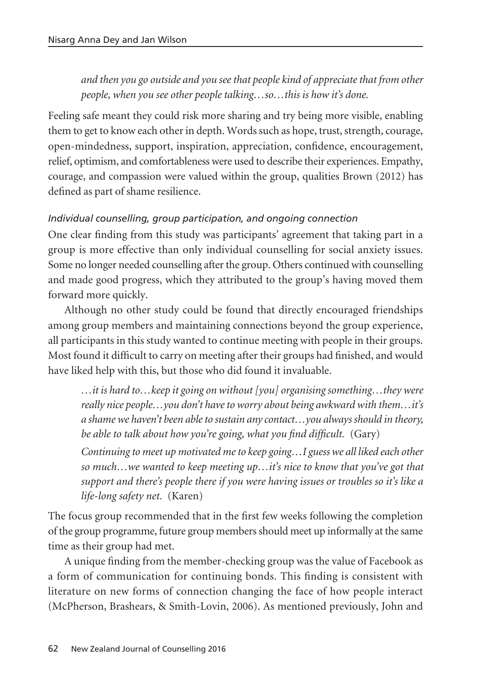*and then you go outside and you see that people kind of appreciate that from other people, when you see other people talking…so…this is how it's done.* 

Feeling safe meant they could risk more sharing and try being more visible, enabling them to get to know each other in depth. Words such as hope, trust, strength, courage, open-mindedness, support, inspiration, appreciation, confidence, encouragement, relief, optimism, and comfortableness were used to describe their experiences. Empathy, courage, and compassion were valued within the group, qualities Brown (2012) has defined as part of shame resilience.

### *Individual counselling, group participation, and ongoing connection*

One clear finding from this study was participants' agreement that taking part in a group is more effective than only individual counselling for social anxiety issues. Some no longer needed counselling after the group. Others continued with counselling and made good progress, which they attributed to the group's having moved them forward more quickly.

Although no other study could be found that directly encouraged friendships among group members and maintaining connections beyond the group experience, all participants in this study wanted to continue meeting with people in their groups. Most found it difficult to carry on meeting after their groups had finished, and would have liked help with this, but those who did found it invaluable.

*…it is hard to…keep it going on without [you] organising something…they were really nice people…you don't have to worry about being awkward with them…it's a shame we haven't been able to sustain any contact…you always should in theory, be able to talk about how you're going, what you find difficult.* (Gary)

*Continuing to meet up motivated me to keep going…I guess we all liked each other so much…we wanted to keep meeting up…it's nice to know that you've got that support and there's people there if you were having issues or troubles so it's like a life-long safety net.* (Karen)

The focus group recommended that in the first few weeks following the completion of the group programme, future group members should meet up informally at the same time as their group had met.

A unique finding from the member-checking group was the value of Facebook as a form of communication for continuing bonds. This finding is consistent with literature on new forms of connection changing the face of how people interact (McPherson, Brashears, & Smith-Lovin, 2006). As mentioned previously, John and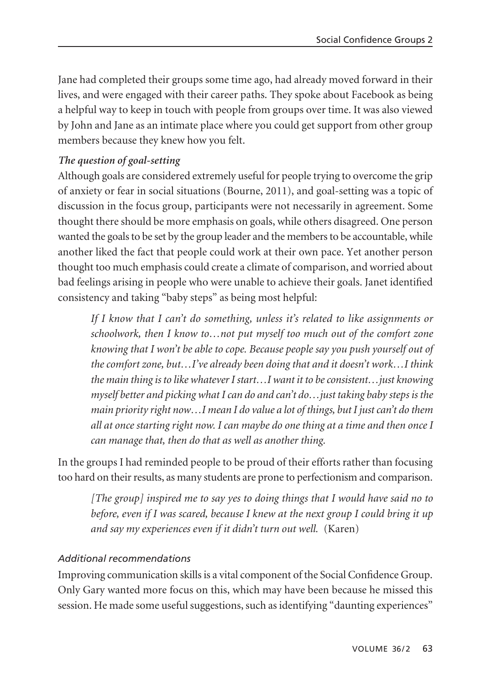Jane had completed their groups some time ago, had already moved forward in their lives, and were engaged with their career paths. They spoke about Facebook as being a helpful way to keep in touch with people from groups over time. It was also viewed by John and Jane as an intimate place where you could get support from other group members because they knew how you felt.

#### *The question of goal-setting*

Although goals are considered extremely useful for people trying to overcome the grip of anxiety or fear in social situations (Bourne, 2011), and goal-setting was a topic of discussion in the focus group, participants were not necessarily in agreement. Some thought there should be more emphasis on goals, while others disagreed. One person wanted the goals to be set by the group leader and the members to be accountable, while another liked the fact that people could work at their own pace. Yet another person thought too much emphasis could create a climate of comparison, and worried about bad feelings arising in people who were unable to achieve their goals. Janet identified consistency and taking "baby steps" as being most helpful:

*If I know that I can't do something, unless it's related to like assignments or schoolwork, then I know to…not put myself too much out of the comfort zone knowing that I won't be able to cope. Because people say you push yourself out of the comfort zone, but…I've already been doing that and it doesn't work…I think the main thing is to like whatever I start…I want it to be consistent…just knowing myself better and picking what I can do and can't do…just taking baby steps is the main priority right now…I mean I do value a lot of things, but I just can't do them all at once starting right now. I can maybe do one thing at a time and then once I can manage that, then do that as well as another thing.*

In the groups I had reminded people to be proud of their efforts rather than focusing too hard on their results, as many students are prone to perfectionism and comparison.

*[The group] inspired me to say yes to doing things that I would have said no to before, even if I was scared, because I knew at the next group I could bring it up and say my experiences even if it didn't turn out well.* (Karen)

#### *Additional recommendations*

Improving communication skills is a vital component of the Social Confidence Group. Only Gary wanted more focus on this, which may have been because he missed this session. He made some useful suggestions, such as identifying "daunting experiences"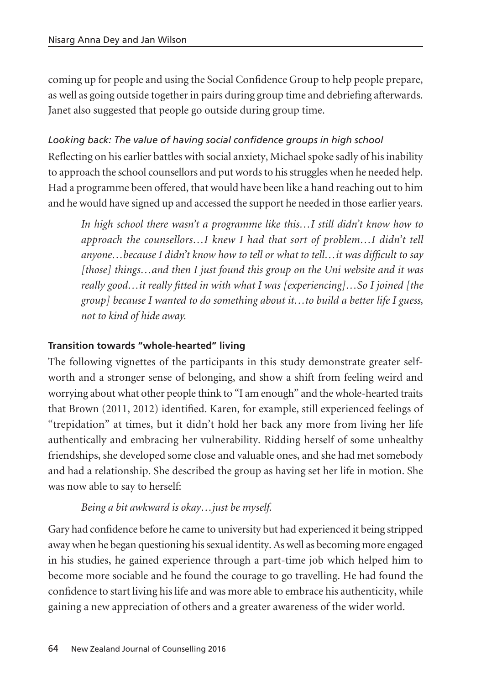coming up for people and using the Social Confidence Group to help people prepare, as well as going outside together in pairs during group time and debriefing afterwards. Janet also suggested that people go outside during group time.

# *Looking back: The value of having social confidence groups in high school*

Reflecting on his earlier battles with social anxiety, Michael spoke sadly of his inability to approach the school counsellors and put words to his struggles when he needed help. Had a programme been offered, that would have been like a hand reaching out to him and he would have signed up and accessed the support he needed in those earlier years.

*In high school there wasn't a programme like this…I still didn't know how to approach the counsellors…I knew I had that sort of problem…I didn't tell anyone…because I didn't know how to tell or what to tell…it was difficult to say [those] things…and then I just found this group on the Uni website and it was really good…it really fitted in with what I was [experiencing]…So I joined [the group] because I wanted to do something about it…to build a better life I guess, not to kind of hide away.* 

## **Transition towards "whole-hearted" living**

The following vignettes of the participants in this study demonstrate greater selfworth and a stronger sense of belonging, and show a shift from feeling weird and worrying about what other people think to "I am enough" and the whole-hearted traits that Brown (2011, 2012) identified. Karen, for example, still experienced feelings of "trepidation" at times, but it didn't hold her back any more from living her life authentically and embracing her vulnerability. Ridding herself of some unhealthy friendships, she developed some close and valuable ones, and she had met somebody and had a relationship. She described the group as having set her life in motion. She was now able to say to herself:

## *Being a bit awkward is okay…just be myself.*

Gary had confidence before he came to university but had experienced it being stripped away when he began questioning his sexual identity. As well as becoming more engaged in his studies, he gained experience through a part-time job which helped him to become more sociable and he found the courage to go travelling. He had found the confidence to start living his life and was more able to embrace his authenticity, while gaining a new appreciation of others and a greater awareness of the wider world.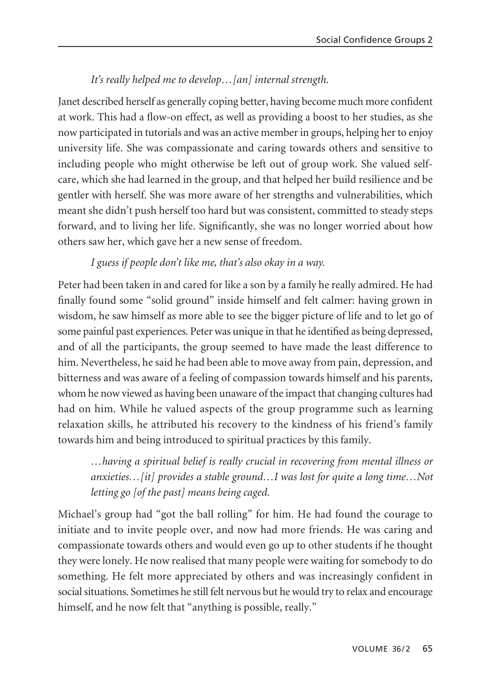### *It's really helped me to develop…[an] internal strength.*

Janet described herself as generally coping better, having become much more confident at work. This had a flow-on effect, as well as providing a boost to her studies, as she now participated in tutorials and was an active member in groups, helping her to enjoy university life. She was compassionate and caring towards others and sensitive to including people who might otherwise be left out of group work. She valued selfcare, which she had learned in the group, and that helped her build resilience and be gentler with herself. She was more aware of her strengths and vulnerabilities, which meant she didn't push herself too hard but was consistent, committed to steady steps forward, and to living her life. Significantly, she was no longer worried about how others saw her, which gave her a new sense of freedom.

### *I guess if people don't like me, that's also okay in a way.*

Peter had been taken in and cared for like a son by a family he really admired. He had finally found some "solid ground" inside himself and felt calmer: having grown in wisdom, he saw himself as more able to see the bigger picture of life and to let go of some painful past experiences. Peter was unique in that he identified as being depressed, and of all the participants, the group seemed to have made the least difference to him. Nevertheless, he said he had been able to move away from pain, depression, and bitterness and was aware of a feeling of compassion towards himself and his parents, whom he now viewed as having been unaware of the impact that changing cultures had had on him. While he valued aspects of the group programme such as learning relaxation skills, he attributed his recovery to the kindness of his friend's family towards him and being introduced to spiritual practices by this family.

*…having a spiritual belief is really crucial in recovering from mental illness or anxieties…[it] provides a stable ground…I was lost for quite a long time…Not letting go [of the past] means being caged.* 

Michael's group had "got the ball rolling" for him. He had found the courage to initiate and to invite people over, and now had more friends. He was caring and compassionate towards others and would even go up to other students if he thought they were lonely. He now realised that many people were waiting for somebody to do something. He felt more appreciated by others and was increasingly confident in social situations. Sometimes he still felt nervous but he would try to relax and encourage himself, and he now felt that "anything is possible, really."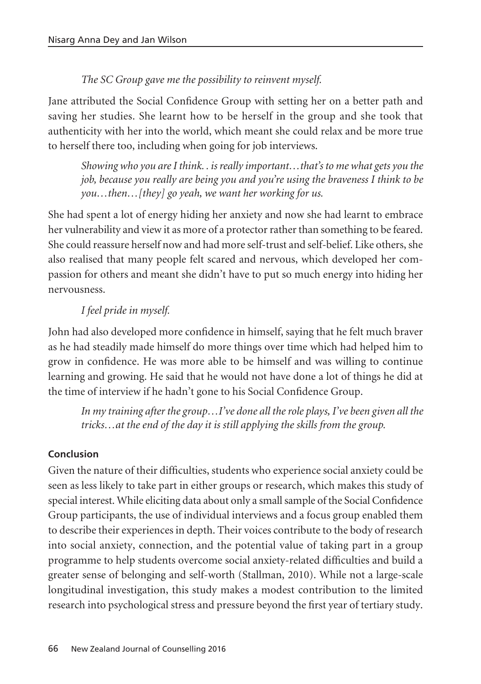#### *The SC Group gave me the possibility to reinvent myself.*

Jane attributed the Social Confidence Group with setting her on a better path and saving her studies. She learnt how to be herself in the group and she took that authenticity with her into the world, which meant she could relax and be more true to herself there too, including when going for job interviews.

*Showing who you are I think. . is really important…that's to me what gets you the job, because you really are being you and you're using the braveness I think to be you…then…[they] go yeah, we want her working for us.* 

She had spent a lot of energy hiding her anxiety and now she had learnt to embrace her vulnerability and view it as more of a protector rather than something to be feared. She could reassure herself now and had more self-trust and self-belief. Like others, she also realised that many people felt scared and nervous, which developed her compassion for others and meant she didn't have to put so much energy into hiding her nervousness.

#### *I feel pride in myself.*

John had also developed more confidence in himself, saying that he felt much braver as he had steadily made himself do more things over time which had helped him to grow in confidence. He was more able to be himself and was willing to continue learning and growing. He said that he would not have done a lot of things he did at the time of interview if he hadn't gone to his Social Confidence Group.

*In my training after the group…I've done all the role plays, I've been given all the tricks…at the end of the day it is still applying the skills from the group.* 

#### **Conclusion**

Given the nature of their difficulties, students who experience social anxiety could be seen as less likely to take part in either groups or research, which makes this study of special interest. While eliciting data about only a small sample of the Social Confidence Group participants, the use of individual interviews and a focus group enabled them to describe their experiences in depth. Their voices contribute to the body of research into social anxiety, connection, and the potential value of taking part in a group programme to help students overcome social anxiety-related difficulties and build a greater sense of belonging and self-worth (Stallman, 2010). While not a large-scale longitudinal investigation, this study makes a modest contribution to the limited research into psychological stress and pressure beyond the first year of tertiary study.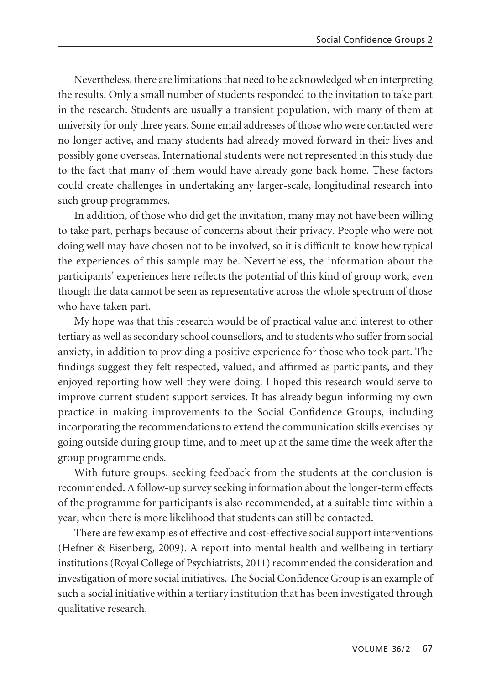Nevertheless, there are limitations that need to be acknowledged when interpreting the results. Only a small number of students responded to the invitation to take part in the research. Students are usually a transient population, with many of them at university for only three years. Some email addresses of those who were contacted were no longer active, and many students had already moved forward in their lives and possibly gone overseas. International students were not represented in this study due to the fact that many of them would have already gone back home. These factors could create challenges in undertaking any larger-scale, longitudinal research into such group programmes.

In addition, of those who did get the invitation, many may not have been willing to take part, perhaps because of concerns about their privacy. People who were not doing well may have chosen not to be involved, so it is difficult to know how typical the experiences of this sample may be. Nevertheless, the information about the participants' experiences here reflects the potential of this kind of group work, even though the data cannot be seen as representative across the whole spectrum of those who have taken part.

My hope was that this research would be of practical value and interest to other tertiary as well as secondary school counsellors, and to students who suffer from social anxiety, in addition to providing a positive experience for those who took part. The findings suggest they felt respected, valued, and affirmed as participants, and they enjoyed reporting how well they were doing. I hoped this research would serve to improve current student support services. It has already begun informing my own practice in making improvements to the Social Confidence Groups, including incorporating the recommendations to extend the communication skills exercises by going outside during group time, and to meet up at the same time the week after the group programme ends.

With future groups, seeking feedback from the students at the conclusion is recommended. A follow-up survey seeking information about the longer-term effects of the programme for participants is also recommended, at a suitable time within a year, when there is more likelihood that students can still be contacted.

There are few examples of effective and cost-effective social support interventions (Hefner & Eisenberg, 2009). A report into mental health and wellbeing in tertiary institutions (Royal College of Psychiatrists, 2011) recommended the consideration and investigation of more social initiatives. The Social Confidence Group is an example of such a social initiative within a tertiary institution that has been investigated through qualitative research.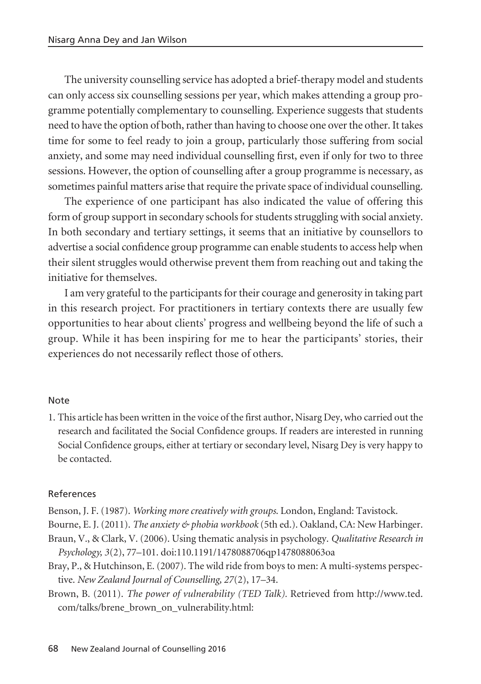The university counselling service has adopted a brief-therapy model and students can only access six counselling sessions per year, which makes attending a group programme potentially complementary to counselling. Experience suggests that students need to have the option of both, rather than having to choose one over the other. It takes time for some to feel ready to join a group, particularly those suffering from social anxiety, and some may need individual counselling first, even if only for two to three sessions. However, the option of counselling after a group programme is necessary, as sometimes painful matters arise that require the private space of individual counselling.

The experience of one participant has also indicated the value of offering this form of group support in secondary schools for students struggling with social anxiety. In both secondary and tertiary settings, it seems that an initiative by counsellors to advertise a social confidence group programme can enable students to access help when their silent struggles would otherwise prevent them from reaching out and taking the initiative for themselves.

I am very grateful to the participants for their courage and generosity in taking part in this research project. For practitioners in tertiary contexts there are usually few opportunities to hear about clients' progress and wellbeing beyond the life of such a group. While it has been inspiring for me to hear the participants' stories, their experiences do not necessarily reflect those of others.

#### Note

1. This article has been written in the voice of the first author, Nisarg Dey, who carried out the research and facilitated the Social Confidence groups. If readers are interested in running Social Confidence groups, either at tertiary or secondary level, Nisarg Dey is very happy to be contacted.

#### References

- Benson, J. F. (1987). *Working more creatively with groups*. London, England: Tavistock.
- Bourne, E. J. (2011). *The anxiety & phobia workbook* (5th ed.). Oakland, CA: New Harbinger.
- Braun, V., & Clark, V. (2006). Using thematic analysis in psychology. *Qualitative Research in Psychology, 3*(2), 77–101. doi:110.1191/1478088706qp1478088063oa
- Bray, P., & Hutchinson, E. (2007). The wild ride from boys to men: A multi-systems perspective. *New Zealand Journal of Counselling, 27*(2), 17–34.
- Brown, B. (2011). *The power of vulnerability (TED Talk).* Retrieved from http://www.ted. com/talks/brene\_brown\_on\_vulnerability.html: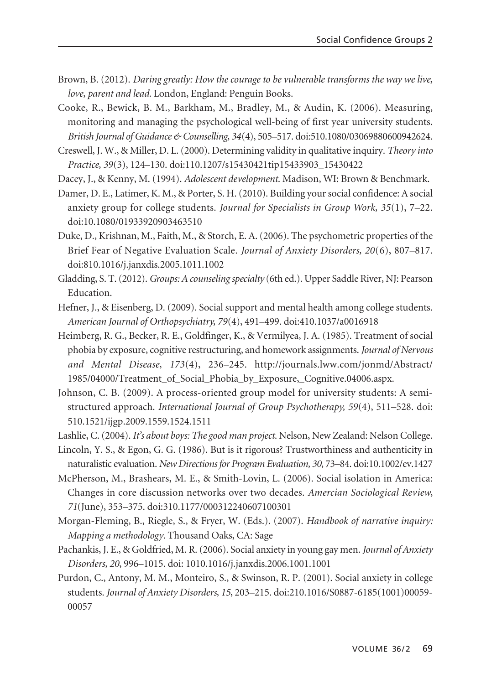- Brown, B. (2012). *Daring greatly: How the courage to be vulnerable transforms the way we live, love, parent and lead*. London, England: Penguin Books.
- Cooke, R., Bewick, B. M., Barkham, M., Bradley, M., & Audin, K. (2006). Measuring, monitoring and managing the psychological well-being of first year university students. *British Journal of Guidance & Counselling, 34*(4), 505–517. doi:510.1080/03069880600942624.
- Creswell, J. W., & Miller, D. L. (2000). Determining validity in qualitative inquiry. *Theory into Practice, 39*(3), 124–130. doi:110.1207/s15430421tip15433903\_15430422
- Dacey, J., & Kenny, M. (1994). *Adolescent development*. Madison, WI: Brown & Benchmark.
- Damer, D. E., Latimer, K. M., & Porter, S. H. (2010). Building your social confidence: A social anxiety group for college students. *Journal for Specialists in Group Work, 35*(1), 7–22. doi:10.1080/01933920903463510
- Duke, D., Krishnan, M., Faith, M., & Storch, E. A. (2006). The psychometric properties of the Brief Fear of Negative Evaluation Scale. *Journal of Anxiety Disorders, 20*(6), 807–817. doi:810.1016/j.janxdis.2005.1011.1002
- Gladding, S. T. (2012). *Groups: A counseling specialty* (6th ed.). Upper Saddle River, NJ: Pearson Education.
- Hefner, J., & Eisenberg, D. (2009). Social support and mental health among college students. *American Journal of Orthopsychiatry, 79*(4), 491–499. doi:410.1037/a0016918
- Heimberg, R. G., Becker, R. E., Goldfinger, K., & Vermilyea, J. A. (1985). Treatment of social phobia by exposure, cognitive restructuring, and homework assignments. *Journal of Nervous and Mental Disease, 173*(4), 236–245. http://journals.lww.com/jonmd/Abstract/ 1985/04000/Treatment\_of\_Social\_Phobia\_by\_Exposure,\_Cognitive.04006.aspx.
- Johnson, C. B. (2009). A process-oriented group model for university students: A semistructured approach. *International Journal of Group Psychotherapy, 59*(4), 511–528. doi: 510.1521/ijgp.2009.1559.1524.1511
- Lashlie, C. (2004). *It's about boys: The good man project*. Nelson, New Zealand: Nelson College.
- Lincoln, Y. S., & Egon, G. G. (1986). But is it rigorous? Trustworthiness and authenticity in naturalistic evaluation. *New Directions for Program Evaluation, 30*, 73–84. doi:10.1002/ev.1427
- McPherson, M., Brashears, M. E., & Smith-Lovin, L. (2006). Social isolation in America: Changes in core discussion networks over two decades. *Amercian Sociological Review, 71*(June), 353–375. doi:310.1177/000312240607100301
- Morgan-Fleming, B., Riegle, S., & Fryer, W. (Eds.). (2007). *Handbook of narrative inquiry: Mapping a methodology*. Thousand Oaks, CA: Sage
- Pachankis, J. E., & Goldfried, M. R. (2006). Social anxiety in young gay men. *Journal of Anxiety Disorders, 20*, 996–1015. doi: 1010.1016/j.janxdis.2006.1001.1001
- Purdon, C., Antony, M. M., Monteiro, S., & Swinson, R. P. (2001). Social anxiety in college students. *Journal of Anxiety Disorders, 15*, 203–215. doi:210.1016/S0887-6185(1001)00059- 00057